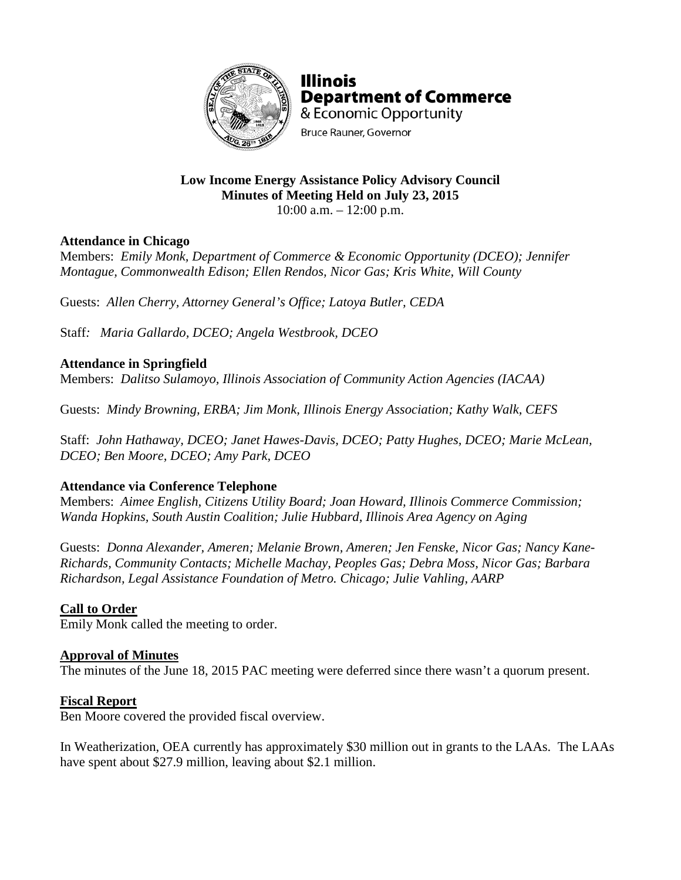

**Illinois Department of Commerce** & Economic Opportunity **Bruce Rauner, Governor** 

# **Low Income Energy Assistance Policy Advisory Council Minutes of Meeting Held on July 23, 2015**

 $10:00$  a.m.  $-12:00$  p.m.

## **Attendance in Chicago**

Members: *Emily Monk, Department of Commerce & Economic Opportunity (DCEO); Jennifer Montague, Commonwealth Edison; Ellen Rendos, Nicor Gas; Kris White, Will County*

Guests: *Allen Cherry, Attorney General's Office; Latoya Butler, CEDA*

Staff*: Maria Gallardo, DCEO; Angela Westbrook, DCEO*

# **Attendance in Springfield**

Members: *Dalitso Sulamoyo, Illinois Association of Community Action Agencies (IACAA)*

Guests: *Mindy Browning, ERBA; Jim Monk, Illinois Energy Association; Kathy Walk, CEFS*

Staff: *John Hathaway, DCEO; Janet Hawes-Davis, DCEO; Patty Hughes, DCEO; Marie McLean, DCEO; Ben Moore, DCEO; Amy Park, DCEO*

### **Attendance via Conference Telephone**

Members: *Aimee English, Citizens Utility Board; Joan Howard, Illinois Commerce Commission; Wanda Hopkins, South Austin Coalition; Julie Hubbard, Illinois Area Agency on Aging*

Guests: *Donna Alexander, Ameren; Melanie Brown, Ameren; Jen Fenske, Nicor Gas; Nancy Kane-Richards, Community Contacts; Michelle Machay, Peoples Gas; Debra Moss, Nicor Gas; Barbara Richardson, Legal Assistance Foundation of Metro. Chicago; Julie Vahling, AARP*

# **Call to Order**

Emily Monk called the meeting to order.

### **Approval of Minutes**

The minutes of the June 18, 2015 PAC meeting were deferred since there wasn't a quorum present.

### **Fiscal Report**

Ben Moore covered the provided fiscal overview.

In Weatherization, OEA currently has approximately \$30 million out in grants to the LAAs. The LAAs have spent about \$27.9 million, leaving about \$2.1 million.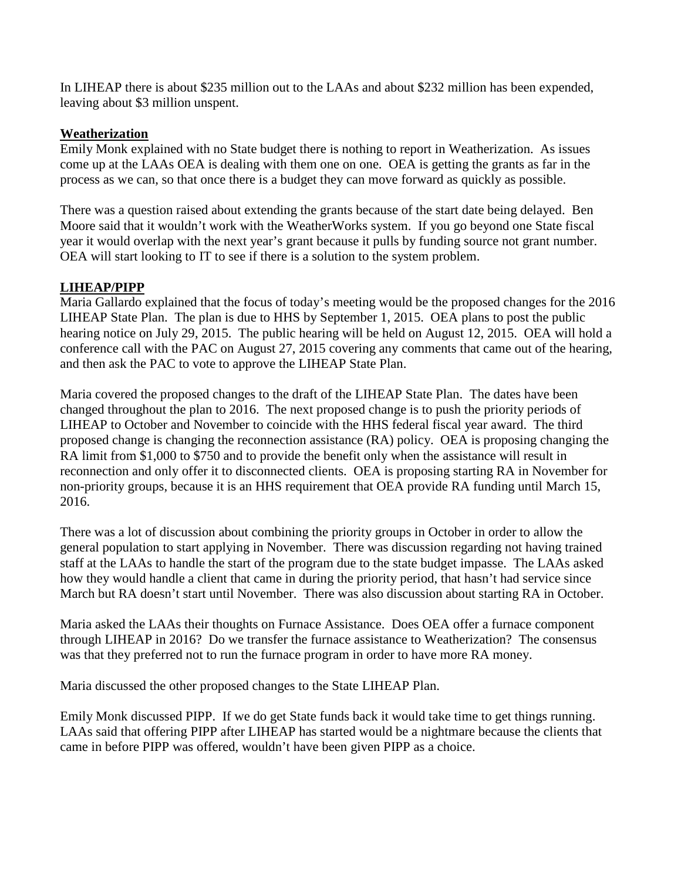In LIHEAP there is about \$235 million out to the LAAs and about \$232 million has been expended, leaving about \$3 million unspent.

#### **Weatherization**

Emily Monk explained with no State budget there is nothing to report in Weatherization. As issues come up at the LAAs OEA is dealing with them one on one. OEA is getting the grants as far in the process as we can, so that once there is a budget they can move forward as quickly as possible.

There was a question raised about extending the grants because of the start date being delayed. Ben Moore said that it wouldn't work with the WeatherWorks system. If you go beyond one State fiscal year it would overlap with the next year's grant because it pulls by funding source not grant number. OEA will start looking to IT to see if there is a solution to the system problem.

### **LIHEAP/PIPP**

Maria Gallardo explained that the focus of today's meeting would be the proposed changes for the 2016 LIHEAP State Plan. The plan is due to HHS by September 1, 2015. OEA plans to post the public hearing notice on July 29, 2015. The public hearing will be held on August 12, 2015. OEA will hold a conference call with the PAC on August 27, 2015 covering any comments that came out of the hearing, and then ask the PAC to vote to approve the LIHEAP State Plan.

Maria covered the proposed changes to the draft of the LIHEAP State Plan. The dates have been changed throughout the plan to 2016. The next proposed change is to push the priority periods of LIHEAP to October and November to coincide with the HHS federal fiscal year award. The third proposed change is changing the reconnection assistance (RA) policy. OEA is proposing changing the RA limit from \$1,000 to \$750 and to provide the benefit only when the assistance will result in reconnection and only offer it to disconnected clients. OEA is proposing starting RA in November for non-priority groups, because it is an HHS requirement that OEA provide RA funding until March 15, 2016.

There was a lot of discussion about combining the priority groups in October in order to allow the general population to start applying in November. There was discussion regarding not having trained staff at the LAAs to handle the start of the program due to the state budget impasse. The LAAs asked how they would handle a client that came in during the priority period, that hasn't had service since March but RA doesn't start until November. There was also discussion about starting RA in October.

Maria asked the LAAs their thoughts on Furnace Assistance. Does OEA offer a furnace component through LIHEAP in 2016? Do we transfer the furnace assistance to Weatherization? The consensus was that they preferred not to run the furnace program in order to have more RA money.

Maria discussed the other proposed changes to the State LIHEAP Plan.

Emily Monk discussed PIPP. If we do get State funds back it would take time to get things running. LAAs said that offering PIPP after LIHEAP has started would be a nightmare because the clients that came in before PIPP was offered, wouldn't have been given PIPP as a choice.